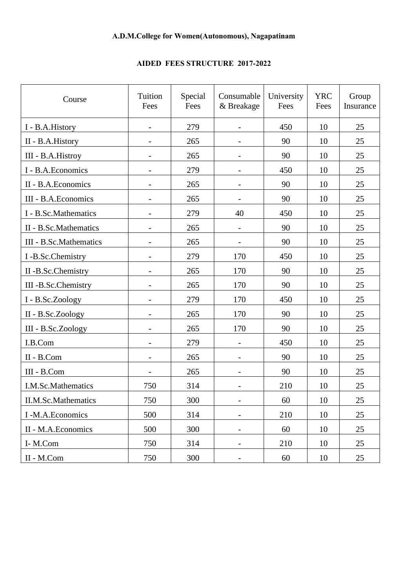## **AIDED FEES STRUCTURE 2017-2022**

| Course                 | Tuition<br>Fees          | Special<br>Fees | Consumable<br>& Breakage     | University<br>Fees | <b>YRC</b><br>Fees | Group<br>Insurance |
|------------------------|--------------------------|-----------------|------------------------------|--------------------|--------------------|--------------------|
| I - B.A.History        | $\overline{\phantom{a}}$ | 279             | $\overline{\phantom{0}}$     | 450                |                    | 25                 |
| II - B.A.History       |                          | 265             |                              | 90                 | 10                 | 25                 |
| III - B.A.Histroy      |                          | 265             |                              | 90                 | 10                 | 25                 |
| I - B.A.Economics      |                          | 279             |                              | 450                | 10                 | 25                 |
| II - B.A.Economics     |                          | 265             |                              | 90                 | 10                 | 25                 |
| III - B.A.Economics    |                          | 265             |                              | 90                 | 10                 | 25                 |
| I - B.Sc.Mathematics   |                          | 279             | 40                           | 450                | 10                 | 25                 |
| II - B.Sc.Mathematics  | $\overline{\phantom{a}}$ | 265             | $\overline{\phantom{a}}$     | 90                 | 10                 | 25                 |
| III - B.Sc.Mathematics |                          | 265             |                              | 90                 | 10                 | 25                 |
| I-B.Sc.Chemistry       |                          | 279             | 170                          | 450                | 10                 | 25                 |
| II-B.Sc.Chemistry      |                          | 265             | 170                          | 90                 | 10                 | 25                 |
| III -B.Sc.Chemistry    |                          | 265             | 170                          | 90                 | 10                 | 25                 |
| I - B.Sc.Zoology       | $\overline{\phantom{a}}$ | 279             | 170                          | 450                | 10                 | 25                 |
| II - B.Sc.Zoology      |                          | 265             | 170                          | 90                 | 10                 | 25                 |
| III - B.Sc.Zoology     | $\overline{\phantom{a}}$ | 265             | 170                          | 90                 | 10                 | 25                 |
| I.B.Com                |                          | 279             |                              | 450                | 10                 | 25                 |
| II - B.Com             |                          | 265             |                              | 90                 | 10                 | 25                 |
| III - B.Com            |                          | 265             |                              | 90                 | 10                 | 25                 |
| I.M.Sc.Mathematics     | 750                      | 314             |                              | 210                | 10                 | 25                 |
| II.M.Sc.Mathematics    | 750                      | 300             | $\overline{\phantom{m}}$     | 60                 | 10                 | 25                 |
| I -M.A.Economics       | 500                      | 314             | $\qquad \qquad -$            | 210                | 10                 | 25                 |
| II - M.A.Economics     | 500                      | 300             | $\qquad \qquad \blacksquare$ | 60                 | 10                 | 25                 |
| I-M.Com                | 750                      | 314             | $\qquad \qquad \blacksquare$ | 210                | 10                 | 25                 |
| II - M.Com             | 750                      | 300             | $\qquad \qquad \blacksquare$ | 60                 | 10                 | 25                 |